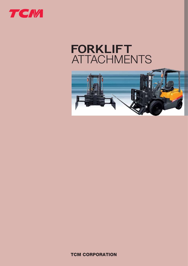

# **FORKLIFT**ATTACHMENTS



**TCM CORPORATION**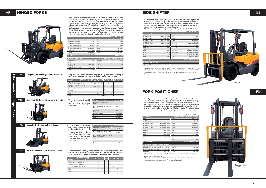The forks can be shifted left or right 75, 100, 120, or 150 mm. They move together with the load backrest allowing the operator to align them perfectly with the pallet notches, without repositioning the truck. The side shifter attachment is an ideal solution for load handling in narrow spaces where close stacking of loads is required or it is difficult to reposition the truck when picking up or depositing a load.

The fork positioner allows the operator to adjust the fork spacing hydraulically for various pallet configurations, without leaving the operator's seat. They are used primarily in high volume operations where there is a great variety of pallet sizes to be handled. The top and bottom shaft type of positioner produces less vibration and prevents the fork spacing from widening during handling. It is especially suitable for handling coil stock or flanged containers. The forks can be side shifted while loaded. The attachment also comes as an integral hook type (2 - 3 ton engine-powered models) and a screw type.

Optionally available for compact reach truck models FRB10 - 13 and low-overall-height reach truck models FRB9 - 13. Optionally available for engine-powered trucks (1 - 4.5 ton models), Acroba series trucks(1 - 3.5 ton models), and battery-powered trucks (1 - 3 ton models) with a VFM or VFHM mast.<br>
And battery-powered trucks (1 - 3 ton m

Side shifters come in three types: shaft type, hook type and integral-hook type (for 1 to 3 ton trucks). Trucks with a VM300 mast



Hinged forks are a versatile attachment used to handle long loads such as lumber. pipes, or metal bars smoothly and efficiently. This attachment tilts the forks up (up to 40°) and down (up to 50°) to cradle and dump loads easily. With a scoop installed, the truck can also work as a bucket truck. And of course, the hinged forks can handle ordinary palletized loads as well. This attachment really offers multi-job versatility.Hinged forks come in two variations: a dual cylinder type and a heavy-duty single cylinder type (for 2 - 4.5 ton trucks). The single cylinder type has a shorter overhang

Long forks are suitable for transporting light, bulky loads or for scooping up loads from a distance, when the truck cannot come too close to them.

| TIUCRS WILLI & VIVIOUU III&SL                   |           |      |  |                      |              |                                         |           |            |
|-------------------------------------------------|-----------|------|--|----------------------|--------------|-----------------------------------------|-----------|------------|
| Max. load (kg)                                  |           |      |  | Shaft type;          | (Hook type); | <integral-hook type=""></integral-hook> |           |            |
| FG D 10                                         | 900 950   | 950  |  | <b>FD80</b>          |              |                                         |           | 8000       |
| F H G D/FHGE15                                  | 1400 1450 | 1450 |  | FD100                |              |                                         |           | 10000      |
| F H G D/FHGE18                                  | 1600 1650 | 1700 |  | <b>FA20D</b>         |              |                                         | 1950 1950 |            |
| F H G D/F H GF20                                | 1950 1950 | 2000 |  | <b>FA25D</b>         |              |                                         | 2450 2450 |            |
| F H G D/F H GF25                                | 2450 2450 | 2500 |  | <b>FA30D</b>         |              |                                         | 2900 2900 |            |
| F H G D/F H GF30                                | 2900 2900 | 3000 |  | FB10/FRB10           |              | 900 950                                 |           | 950 /1000  |
| FD35                                            |           | 3100 |  | FRB <sub>13</sub>    |              |                                         |           | 1200       |
| FG D 35                                         |           | 3500 |  | FRB14                |              |                                         |           | 1250       |
| FG D 40                                         |           | 4000 |  | <b>FB15/FRB15</b>    |              | 1400 1450                               |           | 1450 /1450 |
| FD45                                            |           | 4500 |  | FB18/FRB18           |              | 1600 1650                               |           | 1700 /1650 |
| <b>FD50</b>                                     |           | 5000 |  | FB20/FRB20           |              | 1950 1950                               |           | 2000 /1900 |
| FD60                                            |           | 6000 |  | <b>FR25/FRB25</b>    |              | 2450 2450                               |           | 2500 /2400 |
| <b>FD70</b>                                     |           | 7000 |  | <b>FB30</b>          |              | 2900 2900                               |           | 3000       |
|                                                 |           |      |  | FB35                 |              |                                         |           | 3100       |
| Load center (mm)                                |           |      |  |                      |              | FG D 35 - FD100 600                     |           | 500        |
| Side shift (mm, each side)                      |           |      |  |                      |              |                                         |           |            |
| FG D 10, F H G D/FHGE15 - 30, FD35, FA20D - 30D |           | 100  |  | $FD50 - 100$         |              |                                         |           | 150        |
| FG D 35 - 40, FD45                              |           | 120  |  | FB10 - 30/FRB10 - 25 |              |                                         |           | 100/75     |
|                                                 |           |      |  |                      |              |                                         |           |            |

Fork extension sleeves play almost the same role as the long fork attachment, but they can be installed or removed quickly to handle different types of loads. Three to five types of fork extension sleeves are available for each truck model.

The scoop with fork  $p$ can be installed on the easily and quickly, ar suitable for scooping dumping powder and material. The scoop is a in two types: Type I with front edge and Type II **Scoop for the hinged fork attachment**

|                                               |           |             |                            | Trucks with a VM300 mast                              |              |      |
|-----------------------------------------------|-----------|-------------|----------------------------|-------------------------------------------------------|--------------|------|
| Max. load (kg)                                |           |             | Top and bottom shaft type; | <lntegral-hook type="">; (Screw type)</lntegral-hook> |              |      |
| FG D 10                                       |           | 900         | <b>FD70</b>                |                                                       | 6700 7000    |      |
| F H G D/FHGE15                                |           | 1400        | <b>FD80</b>                |                                                       | 7700 8000    |      |
| F H G D/FHGE18                                |           | 1600        | FD100                      |                                                       | 10000 10000  |      |
| F H G D/F H GE20                              | 1900 2000 | 2000        | FA20D                      |                                                       | 1900 2000    |      |
| F H G D/F H GE25                              | 2400 2500 | 2500        | <b>FA25D</b>               |                                                       | 2400 2500    |      |
| F H G D/F H GE30                              | 2900 3000 | 3000        | <b>FA30D</b>               |                                                       | 2900 3000    |      |
| FD35                                          |           | 3200        | <b>FB10</b>                |                                                       |              | 900  |
| FG D 35                                       |           | 3500 3500   | <b>FB15</b>                |                                                       |              | 1400 |
| FG D 40                                       |           | 4000 4000   | <b>FB18</b>                |                                                       |              | 1600 |
| FD45                                          |           | 4500 4500   | FB20                       |                                                       |              | 1900 |
| <b>FD50</b>                                   |           | 4900 4850   | <b>FB25</b>                |                                                       |              | 2400 |
| FD60                                          |           | 5800 6000   | FB30                       |                                                       |              | 2900 |
|                                               |           |             | <b>FB35</b>                |                                                       |              | 3200 |
| Load center (mm)                              |           |             |                            | FG D 35 - FD100 600                                   |              | 500  |
| Fork spacing (top and bottom shaft type) (mm) |           |             |                            |                                                       |              |      |
|                                               |           |             |                            |                                                       |              |      |
| FG D 10, F H G D/FHGE15 - 18, FB10 - 15, FB18 |           | $260 - 870$ | FG D 35 - 40, FD45 - 50    |                                                       | $380 - 1220$ |      |
|                                               |           |             |                            |                                                       |              |      |

| FD35, FB35                                    | $370 - 1035$ | FD100                     | $455 - 2115$ |
|-----------------------------------------------|--------------|---------------------------|--------------|
| F H G D/F H GE30, FA30D, FB30                 | $310 - 1035$ | <b>FD80</b>               | $410 - 1790$ |
| F H G D/F H GE20 - 25, FA20D - 25D, FB20 - 25 | $310 - 975$  | $FDS0 - 70$               | $360 - 1690$ |
| FG D 10. F H G D/FHGE15 - 18. FB10 - 15. FB18 | 260 - 870    | - FG D 35 - 40. FD45 - 50 | 380 - 1220   |

Optionally available for engine-powered trucks (2 - 4.5 ton models), Acroba series trucks (2 - 4 ton models), and<br>battery-powered trucks (2 - 3.5 ton models) with a VFM or VFHM mast.<br>Available for all trucks with long fork

1

WFH

HFS

EFH

LFH

### **HINGED FORKS**

and an increased allowable load. In addition, hinged forks can be used in combination with a variety of attachments including a scoop, wide finger bar, long forks, and fork extension sleeves, to respond efficiently to various job requirements.

toothed edge.

**Attachments for hinged forks**

hinged

forks

chments for

 $\mathbf{H}$ 

**Long forks for the hinged fork attachment**

**Wide finger bar for the hinged fork attachment** 

**Fork extension sleeves for the hinged fork attachment**

| The wide finger bar is suitable                               | <b>Truck model</b>                              | Finger bar width |
|---------------------------------------------------------------|-------------------------------------------------|------------------|
| for handling long, unstable<br>loads such as railway sleepers | FG D 10, F H G D/FHGE15 - 18<br>FB10 - 18       | 1250 mm          |
| or plywood.                                                   | F H G D/F H GE20 - 25, FA20D - 25D<br>FB20 - 25 | 1480 mm          |
|                                                               | F H G D/F H GE30, FD35, FA30D<br>FB30 - 35      | 1520 mm          |
|                                                               | FG D 35 - 40, FD45                              | 1850/2050 mm     |
|                                                               | <b>FD50</b>                                     | 1850 mm          |
|                                                               | FD60 - 70                                       | 2000/2080 mm     |

|                                                   |           |              |                         | Trucks with a VM300 mast                                 |
|---------------------------------------------------|-----------|--------------|-------------------------|----------------------------------------------------------|
| Max. load (kg)                                    |           |              | Dual cylinder type;     | (Single cylinder type)                                   |
| FG D 10, FB10                                     | 800       | FD45         |                         | 3800 4300                                                |
| F H G D/FHGE15, FB15                              | 1250      | FD50         |                         | 4250                                                     |
| F H G D/FHGE18, FB18                              | 1500      | <b>FD60</b>  |                         | 5000                                                     |
| F H G D/F H GE20, FB20                            | 1750 1800 | <b>FD70</b>  |                         | 6000                                                     |
| F H G D/F H GE25, FB25                            | 2150 2300 | <b>FD80</b>  |                         | 6200                                                     |
| F H G D/F H GE30, FB30                            | 2550 2750 | <b>FA20D</b> |                         | 1700 1800                                                |
| FD35, FB35                                        | 2700      | <b>FA25D</b> |                         | 2100 2300                                                |
| FG D 35                                           | 3200 3350 | FA30D        |                         | 2500 2750                                                |
| <b>FG D 40</b>                                    | 3500 3850 |              |                         |                                                          |
| Load center (mm)                                  |           |              |                         | FD80 600 500                                             |
|                                                   |           |              |                         |                                                          |
| Dumping clearance (mm)                            |           |              | Dual cylinder type;     | (Single cylinder type)                                   |
| FG D 10, FB10                                     | 2400      | FD35, FB35   |                         | 2145                                                     |
| F H G D/FHGE15 - 18, FB15 - 18                    | 2280      |              | FG D 35 - 40, FD45 - 50 | 2125 2145                                                |
| F H G D/F H GE20 - 25, FA20D - 25D<br>$FR20 - 25$ | 2265 2250 | FD60 - 70    |                         | 2130                                                     |
| F H G D/F H GE30, FB30                            | 2165 2170 | FD80         |                         | 2000                                                     |
| <b>FA30D</b>                                      | 2170      |              |                         |                                                          |
|                                                   |           |              |                         | All FB and data a construction of the state of the data. |

| Long fork model LFH LFH<br><b>Truck model</b>     | 77         | 85 | LFH I<br>92 | LFH.<br>107 | <b>LFH</b><br>122 | LFH<br>137 | LFH.<br>152 | <b>LFH</b><br>167 | <b>LFH</b><br>182 | LFH<br>197 | LFH<br>212 |
|---------------------------------------------------|------------|----|-------------|-------------|-------------------|------------|-------------|-------------------|-------------------|------------|------------|
| FG D 10, FB10                                     | <b>STD</b> |    |             |             |                   |            |             |                   |                   |            |            |
| F H G D/FHGE15 - 18, FB15 - 18                    |            |    | <b>STD</b>  |             |                   |            |             |                   |                   |            |            |
| F H G D/F H GE20 - 25, FA20D - 25D<br>$FB20 - 25$ |            |    | <b>STD</b>  |             |                   |            |             |                   |                   |            |            |
| F H G D/F H GE30, FD35, FA30D<br>FB30 - 35        |            |    |             | <b>STD</b>  |                   |            |             |                   |                   |            |            |
| FG D 35 - 40, FD45                                |            |    |             | <b>STD</b>  |                   |            |             |                   |                   |            |            |
| FD50 - 70                                         |            |    |             | <b>STD</b>  |                   |            |             |                   |                   |            |            |
| <b>FD80</b>                                       |            |    |             |             | <b>STD</b>        |            |             |                   |                   |            |            |

| pockets                      | <b>Truck model</b>                                            | Scoop capacity (heaped)     |  |  |  |
|------------------------------|---------------------------------------------------------------|-----------------------------|--|--|--|
| ie forks<br>nd it is         | FG D 10, F H G D/FHGE15 - 18<br>FB10 - 18                     | $0.6 \, \text{m}^3$         |  |  |  |
| ng and<br>d loose            | F H G D/F H GE20 - 25 (STD - WIDE)<br>FB20 - 25 (STD - WIDE)  | $0.7 - 0.8$ m <sup>3</sup>  |  |  |  |
| <i>vailable</i><br>th a flat | F H G D/F H GE30, FD35 (STD - WIDE)<br>FB30 - 35 (STD - WIDE) | $0.8 - 0.85$ m <sup>3</sup> |  |  |  |
| l with a                     | FG D 35 - 40, FD45 - 50                                       | $1.0 \text{ m}^3$           |  |  |  |
|                              | FD60 - 70                                                     | $1.5 \text{ m}^3$           |  |  |  |
|                              | <b>FD80</b>                                                   | $1.6$ m <sup>3</sup>        |  |  |  |

| Fork extension sleeve length<br>mm<br><b>Truck model</b> | 1050 | 1200 | 1350 | 1500 | 1650 | 1800 | 1950 | 2100 | 2250 |
|----------------------------------------------------------|------|------|------|------|------|------|------|------|------|
| FG D 10, FB10                                            |      |      |      |      |      |      |      |      |      |
| F H G D/FHGE15 - 18, FB15 - 18                           |      |      |      |      |      |      |      |      |      |
| F H G D/F H GE20 - 25, FB20 - 25                         |      |      |      |      |      |      |      |      |      |
| F H G D/F H GE30, FD35, FB30 - 35                        |      |      |      |      |      |      |      |      |      |
| FG D 35 - 40, FD45                                       |      |      |      |      |      |      |      |      |      |
| FD50                                                     |      |      |      |      |      |      |      |      |      |
| $FD60 - 70$                                              |      |      |      |      |      |      |      |      |      |
| <b>FD80</b>                                              |      |      |      |      |      |      |      |      |      |

All FB models come with dual lift cylinders.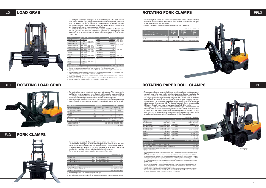The rotating fork clamp is a fork clamp attachment with a rotator. With this attachment, the truck carrying a load that is wider than the aisle can pass through a narrow aisle by rotating the attachment.

Rotating fork clamps are available as an integral type and a hook type.

|                                          |    |                                   |                                   | Trucks with a VM300 mast    |  |  |  |
|------------------------------------------|----|-----------------------------------|-----------------------------------|-----------------------------|--|--|--|
| Integral type (Hook type)                |    | FHGD<br>F H GE<br><b>FB</b><br>20 | FHGD<br>F H GE<br><b>FB</b><br>25 | FHGD<br>F H GE<br>FB.<br>30 |  |  |  |
| Max. load                                | kg | 1150 1050                         | 1500 1400                         | 1800 1600                   |  |  |  |
| Load center                              | mm | 500                               |                                   |                             |  |  |  |
| Arm spacing (standard/wide-spacing type) | mm |                                   | 500 - 2000/600 - 2100             | $500 - 2100/500 - 2200$     |  |  |  |

Rotating paper roll clamps are an ideal solution for all professional paper handling operations, such as in paper mills, paper coating factories and paper warehouses. In particular, the swing type is suitable for work sites where a variety of roll diameters need to be handled.The integral type, consisting of a carriage integrated with a rotator, offers an increased allowable load and excellent front visibility to prevent damage to the piping parts due to falling objects. The hook type is suitable for users who want to use paper roll clamps without a rotator for a particular job. The lineup of paper roll clamps is expanded by field-proven Cascade brand paper roll clamps available for 2 - 3 ton trucks. The swing type clamps for 2 to 3.5 ton trucks come in six diameter ranges. For example, clamps with a roll range of 600 to 1200 mm improve stacking efficiency in vertical handling of rolls; those with a roll range of 300 to 1300 mm are preferred for horizontal handling of rolls; and those with a roll range of 600 to 1450 mm are suitable for handling large rolls. You can choose the right attachment for your job requirements from among a variety of paper roll clamps with lots of arm variations.

 Five additional models of paper roll clamps are optionally available for engine-powered trucks (2 - 3.5 ton models), Acroba series trucks (2 - 3 ton models), and battery-powered trucks (2 - 3.6 ton models), in addition<br>to the standard model. One other paper roll clamp model is available for engine-powered trucks (3.5 - 4.5 ton<br>m

Two additional arm models), in addition to the standard model. Five additional arm models) and reach<br>trucks (1 - 2.5 ton models), in addition to the standard model. Five additional arm models are available for<br>engine-powe



The load grab attachment is designed to clamp and transport baled loads. Typical loads consist of waste paper, wrapped livestock feed and bedding, cotton, boxes and bags. The operator can pick up, deposit and stack loads without any help. The load grab allows palletless handling to save money on pallet purchases, maintenance and storage, and improves warehouse space utilization.

|                                                                 |           |           |                                             |     | Trucks with a VM300 mast |              |
|-----------------------------------------------------------------|-----------|-----------|---------------------------------------------|-----|--------------------------|--------------|
| Max. load (kg)                                                  |           |           | Integral type; (Hook type); < Cascade make> |     |                          |              |
| <b>FG D 10</b>                                                  |           | 650 550   | <b>FA25D</b>                                |     | 1900 1700                | 1700         |
| F H G D/FHGE15                                                  |           | 1050 1000 | FA30D                                       |     | 2300 2100                | 2000         |
| F H G D/FHGE18                                                  |           | 1100 1100 | FB10/FRB10                                  |     |                          | 650 550 /550 |
| F H G D/F H GE20                                                | 1500 1350 | 1350      | FRB13                                       |     |                          | 700          |
| F H G D/F H GE25                                                | 1900 1700 | 1700      | FRB14                                       |     |                          | 850          |
| F H G D/F H GE30                                                | 2300 2100 | 2000      | FB15/FRB15                                  |     | 1050 1000 /950           |              |
| FD35                                                            |           | 2300      | FB18/FRB18                                  |     |                          | 1000         |
| FG D 35                                                         |           | 2400 2300 | FB20/FRB20                                  |     |                          | 1350 /1200   |
| <b>FG D 40</b>                                                  |           | 2800 2500 | FB25/FRB25                                  |     |                          | 1700 /1500   |
| FD45                                                            |           | 3100 2800 | FB30                                        |     |                          | 2100         |
| <b>FA20D</b>                                                    | 1500 1350 | 1350      | <b>FB35</b>                                 |     |                          | 2300         |
| Load center mm                                                  |           |           |                                             | 600 | 650                      | 800          |
| Roll range (mm)                                                 |           |           |                                             |     |                          |              |
| FG D 10, F H G D/FHGE15 - 18, FB10 - 15, FRB10 - 18             |           |           |                                             |     |                          | $270 - 1200$ |
| F H G D/F H GE20 - 30, FD35, FA20D - 30D, FB20 - 30, FRB20 - 25 |           |           |                                             |     |                          | $300 - 1300$ |
| Cascade make F H G D/F H GE20 - 30, FA20D - 30D                 |           |           |                                             |     |                          | $260 - 1300$ |
| FG D 35 - 40, FD45, FB35                                        |           |           |                                             |     |                          | $350 - 1600$ |

The load grab attachment is available in three designs, in addition to standard arm: fork arm type for 2 - 4.5 ton trucks; wide-spacing type for 1 - 3.5 ton engine-powered trucks and for 2 - 3 ton Acroba series trucks; slide-bushing type for truck models FD60 - FD80. Trucks with a VM300 mast

Optionally available for compact reach truck models FRB10 - 13 and low-overall-height reach truck models FRB9 - 13.

 FRB9 - 13. Optionally available for engine-powered trucks (2 - 3 ton models), Acroba series trucks (2 - 3 ton models) and<br>battery-powered trucks (2 - 3 ton models), with a VFM or VFHM mast.<br>The side shift feature can be combined on e

## LG **LOAD GRAB**



#### RLG **ROTATING LOAD GRAB**



The rotating load grab is a load grab attachment with a rotator. This attachment is useful in load handling operations where the aisle width or stacking space is restricted. For example, with this attachment, the truck can pass through a narrow aisle by rotating a load that is longer than the width of the aisle to a vertical position.The rotating load grab attachment is available in two types: an integral type and a hook type. Each type

|                  |                |                              |              |                    | Trucks with a Viviouu mast          |
|------------------|----------------|------------------------------|--------------|--------------------|-------------------------------------|
|                  | Max. load (kg) | Arm spacing (mm)             |              | Max. load (kg)     | Arm spacing (mm)                    |
| FG D 10          | 700            |                              | FA20D        | 1550 1200          | $500 - 2000$                        |
| F H G D/FHGE15   | 1200           | $500 - 1800$                 | <b>FA25D</b> | 2000 1600          | $600 - 2100$<br>$500 - 1800$        |
| F H G D/FHGE18   | 1300           | $600 - 1900$                 | FA30D        | 2300 1900          | 500 - 2100 600 - 2200<br>500 - 1900 |
| F H G D/F H GE20 | 1550 1200      | $500 - 2000$<br>$600 - 2100$ | FB10/FRB10   | 700/700            |                                     |
| F H G D/F H GE25 | 2000 1600      | $500 - 1800$                 | FRB13        | 950                |                                     |
| F H G D/F H GE30 | 2300 1900      | $500 - 2100$                 | FRB14        | 1050               | $500 - 1800$                        |
| FD35             | 2300 1900      | $600 - 2200$<br>$500 - 1900$ | FB15/FRB15   | 1200/1200          |                                     |
| FG D 35          | 2650 2500      |                              | FB18/FRB18   | 1300/1300          |                                     |
| FG D 40          | 3150 2900      | $600 - 2200$<br>$600 - 2100$ | FB20/FRB20   | 1550/1500          | $500 - 2000$                        |
| FD45             | 3550 3200      |                              | FB25/FRB25   | 2000/1900          |                                     |
| <b>FD50</b>      | 3700           | $500 - 2100$                 | <b>FB30</b>  | 2300               | $500 - 2100$                        |
| FD60             | 4200           |                              |              |                    |                                     |
| <b>FD70</b>      | 4800           | $500 - 2300$                 |              |                    |                                     |
| <b>FD80</b>      | 5200           |                              |              |                    |                                     |
| Load center (mm) |                |                              |              | FG D 35 - FD80 600 | 500                                 |

Figures in brackets < >, inf Max. load", are given for the fork arm type. Figures in parentheses ( ), inf Arm<br>spacing", are for the wide-spacing type and those in brackets < > are for the fork arm type.<br>Optionally availabl

trucks (2 - 3 ton models).

Load backrests corresponding to arm spacing are available for engine-powered trucks (2 - 3.5 ton models) with a load grab. Optionally available for Acroba series trucks (2 - 3 ton models) with wide tread.

comes in a standard arm version and a fork arm version (2 - 3 ton trucks). A variety of arms are available.

| Trucks with a VM300 mast |                                  |                            |                                                |                           |  |  |  |
|--------------------------|----------------------------------|----------------------------|------------------------------------------------|---------------------------|--|--|--|
| Max. load (kg)           | <b>Standard arm</b>              |                            | Fork arm                                       |                           |  |  |  |
|                          | Integral type                    | Hook type<br>Integral type |                                                | <b>Hook type</b>          |  |  |  |
| F H G D/F H GE20, FB20   | 1250                             | 1150                       | 1000                                           | 800                       |  |  |  |
| F H G D/F H GE25, FB25   | 1600                             | 1500                       | 1400                                           | 1200                      |  |  |  |
| F H G D/F H GE30, FB30   | 1900                             | 1700                       | 1700                                           | 1500                      |  |  |  |
| FG D 35                  | 2400                             |                            |                                                |                           |  |  |  |
| FG D 40                  | 2700                             |                            |                                                |                           |  |  |  |
| FD45                     | 3100                             |                            |                                                |                           |  |  |  |
| Load center (mm)         |                                  |                            |                                                | FG D 35 - 40 FD45 600 500 |  |  |  |
| Arm spacing (mm)         |                                  |                            | (): Wide-spacing type, $\lt$ > : Fork arm type |                           |  |  |  |
| F H G D/F H GE20 - 25    |                                  |                            | 500 - 2000 600 - 2100                          | $500 - 1800$              |  |  |  |
| F H G D/F H GE30         | 500 - 2100 600 - 2200 500 - 1900 |                            |                                                |                           |  |  |  |
| FG D 35 - 40, FD45       | $500 - 2100$                     |                            |                                                |                           |  |  |  |

FLG **FORK CLAMPS**



The fork clamp is a load grab attachment which has forks in place of arms. This attachment is designed to clamp and transport baled cotton or bags. It is also used to handle ordinary palette loads. The left and right forks can move independently, for efficient handling of a variety of load sizes from small to large, without needing to the ficient handling of a variety of load sizes from small to large, without needing to reposition the truck if the forks are not aligned with the pallet notches.The fork clamp comes in two arm spacing types: standard and wide.

Trucks with a VM300 mas

| Max. load (kg)                            |      |                        |                           |
|-------------------------------------------|------|------------------------|---------------------------|
| FG D 10, FB10                             | 650  | F H G D/F H GE20, FB20 | 1450                      |
| F H G D/FHGE15, FB15                      | 1150 | F H G D/F H GE25, FB25 | 1900                      |
| F H G D/FHGE18, FB18                      | 1250 | F H G D/F H GE30, FB30 | 2300                      |
| Load center (mm)                          |      |                        | 500                       |
|                                           |      |                        |                           |
| Arm spacing (mm)                          |      |                        | (): Wide-spacing type     |
| FG D 10, F H G D/F H GE15 - 18, FB10 - 18 |      |                        | 510 - 1810 610 - 1910     |
| F H G D/F H GE20 - 25, FB20 - 25          |      |                        | $500 - 2000 - 600 - 2100$ |
| F H G D/F H GE30, FB30                    |      |                        | $500 - 2100$ 600 - 2200   |

Optionally available for 2 - 3 ton trucks with a VFM or VFHM mast.<br>Several types of arm series and arm spacing series are available.<br>For 2 - 3 ton trucks, the fork clamp attachment can be used in combination with a side sh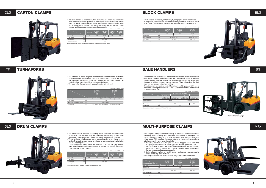# **BALE HANDLERS**

### **MULTI-PURPOSE CLAMPS**

Handle concrete blocks safely and efficiently by clamping the load from both sides. In many cases, concrete blocks, each row with an length of 39 cm, are handled two or three rows at a time. Therefore, the arm size is determined for such an application.

Suitable for handling nearly any type of baled product such as hay, cotton, or waste paper.<br>With spikes inserted deep into the bale, the load won't fall off the attachment during handling. The bale handler can handle loads easily in places with low doorway or ceilings, such as inside a container. They help reduce the dust from hay and prevent bales from spilling.

Multi-purpose clamps offer the versatility to perform a variety of functions smoothly and efficiently, with only one attachment. A multi-purpose clamp consists of stabilizer forks, side arms and base forks to clamp and rotate loads. With stabilizer forks and side arms removed, the remaining attachment can be used as ordinary forks.

By using rotation feature, you can move bagged loads from the company's own pallets onto shipping pallets, without spilling the load. With side arms removed, the attachment efficiently handles cotton bales, bags and boxes on a pallet, or it can be used as a load stabilizer to handle carbonated beverages securely. Using a bucket in place of the side arms, the attachment can be used to

rotate and dump loose material.Multi-purpose clamps are available in an integral type and a hook type.

The attachment comes in a vertical handling model (Types A and B) and a horizontal handling model (Types C and D), to match the type and number of bales to be handled. Trucks with a VM300 mast



Optionally available for trucks with a VFM or VFHM mast.

Wide-spacing clamps are also available.

|                        |    |                             |                      | Trucks with a VM300 mast |  |  |
|------------------------|----|-----------------------------|----------------------|--------------------------|--|--|
|                        |    | <b>FHGD</b><br>F H GE<br>20 | FHGD<br>F H GE<br>25 | FHGD.<br>F H GE.<br>30   |  |  |
| Max, load              | kg | 1350                        | 1600                 | 2000                     |  |  |
| Load center            | mm | 615                         | 620                  |                          |  |  |
| Arm dimensions         | mm | 1185× 160× 180              | 1200× 160× 210       |                          |  |  |
| Arm spacing            | mm | 700 - 1500                  | $800 - 1400$         |                          |  |  |
| Number of clamped rows | mm | 2 rows                      |                      |                          |  |  |

The drum clamp is designed for handling drums. Arms with the same radius as the drum to be handled clamp the load safely and securely. A check valve is installed to prevent the load from falling due to shocks while traveling. There is also a rotating drum clamp consisting of a drum clamp with a rotator. The rotating drum clamp is suitable for can-manufacturing factories and can-washing work.

The carton clamp is an attachment suitable for handling and transporting cartons and crates containing electronic appliances or bottled liquids. The clamp has large contact areas and flexible arms that bend. It applies even clamping pressure over the entire load to reduce product damage. This attachment allows palletless handling to save money on pallet purchases, maintenance and storage costs. Trucks with a VM300 mast

|                            |    |                             |                             | Trucks with a VM300 mast    |  |  |
|----------------------------|----|-----------------------------|-----------------------------|-----------------------------|--|--|
| Integral type; (Hook type) |    | <b>FHGD</b><br>F H GE<br>20 | <b>FHGD</b><br>F H GE<br>25 | <b>FHGD</b><br>F H GE<br>30 |  |  |
| Max, load                  | kg | 1000 900                    | 1300 1200                   | 1700 1600                   |  |  |
| Load center                | mm | 550                         |                             |                             |  |  |
| Side arm width             | mm | 700                         |                             |                             |  |  |
| Clamp spacing              | mm | 750 - 1200                  | 760 - 1210                  |                             |  |  |
| Side arm spacing           | mm | $500 - 650$                 |                             |                             |  |  |

|                          |    | F H G D/F H GE20 25               |                                 |                                   |                                 |  |
|--------------------------|----|-----------------------------------|---------------------------------|-----------------------------------|---------------------------------|--|
|                          |    | A standard                        | в                               | C                                 | D                               |  |
| Bale type                |    | Regular size<br>(handles 8 bales) | Mini size<br>(handles 10 bales) | Regular size<br>(handles 8 bales) | Mini size<br>(handles 12 bales) |  |
| Handling direction       |    | Vertical<br>Horizontal            |                                 |                                   |                                 |  |
| Handler front frame size | mm | 1070×2100                         |                                 |                                   |                                 |  |
| Max. load                | kg | 450<br>660                        |                                 |                                   |                                 |  |
| Load center              | mm |                                   |                                 | 240                               |                                 |  |

## CLG **CARTON CLAMPS**



#### TF **TURNAFORKS**



The turnafork is a dual-purpose attachment on which the arms rotate from a pallet-handling position to a clamp handling position: that is, the forks can be placed horizontally to use them as ordinary forks; and they can be rotated upright to use them like a load grab attachment. The automatic change is made quickly from the driver's seat.

Five additional arm models are optionally available, in addition to the standard model.

# DLG **DRUM CLAMPS**



 The rotating drum clamp allows the operator to grab drums lying on their sides and stack them vertically, or to load or unload drums easily on a trailer truck using the rotation feature.

A contact pad model is available, in addition to the standard model.

|                        |    | FG D 10      | FHGD<br><b>FHGE</b><br>15 | <b>FHGD</b><br><b>FHGE</b><br>18 | FHGD<br>F H GE<br>20 | <b>FHGD</b><br>F H GE<br>25 |
|------------------------|----|--------------|---------------------------|----------------------------------|----------------------|-----------------------------|
| Max, load              | kg | 450          | 900                       | 1100                             | 1200                 | 1600                        |
| Load center            | mm | 510          |                           |                                  |                      |                             |
| Arm spacing            | mm | $560 - 1930$ |                           |                                  |                      |                             |
| Side shift (each side) | mm |              |                           | $0 - 342$                        |                      |                             |

|             |    |                |                           |                           |                             | Trucks with a VM300 mast    |
|-------------|----|----------------|---------------------------|---------------------------|-----------------------------|-----------------------------|
|             |    | <b>FG D 10</b> | FHGD<br><b>FHGE</b><br>15 | FHGD<br><b>FHGE</b><br>18 | <b>FHGD</b><br>F H GE<br>20 | <b>FHGD</b><br>F H GE<br>25 |
| Max, load   | kg | 500            | 900                       | 1000                      | 1200                        | 1400                        |
| Load center | mm | 620            |                           |                           |                             |                             |
| Arm spacing | mm | $510 - 1310$   |                           |                           |                             |                             |
| Arm length  | mm |                |                           | 1050                      |                             |                             |

|                                  |    |                                     |      |                                                               | Trucks with a VM300 mast |
|----------------------------------|----|-------------------------------------|------|---------------------------------------------------------------|--------------------------|
|                                  |    | FHGD<br><b>F H GE20</b><br>FB<br>20 |      | FHGD<br><b>F H GE25</b><br>FB<br>25                           |                          |
|                                  |    |                                     |      | Clamp handling Pallet handling Clamp handling Pallet handling |                          |
| Max, load                        | kg | 800                                 | 1500 | 1000                                                          | 1800                     |
| Load center                      | mm | 610                                 |      |                                                               |                          |
| Arm (length x width x thickness) | mm | 1220×255×65                         |      |                                                               |                          |
| Arm spacing                      | mm |                                     |      | 515 - 1600 for clamp handling: 710 - 1790 for pallet handling |                          |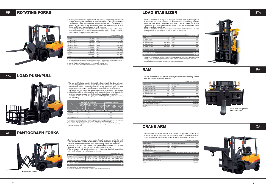# **RAM**

### **CRANE ARM**

Entertation is procedured.<br>The load stabilizer comes in two versions: standard and wide range. A side shifting feature is available as an option for 2 - 3 ton trucks.

The ram attachment is used to maneuver many types of coiled loads easily, such as wire coils, tires, metal reels, or cable reels.

 $T<sub>1</sub>$  with a value of  $\overline{a}$ 

The crane arm attachment consists of an inverted L-shaped arm attached to the finger bar with a hook on its end. This attachment is used for handling loads which cannot be palletized due to their odd shape or size by slinging them on the hook.

There are seven holding ranges available, in addition to the standard range. There are nine upper retainer types available (4 types for 3-ton trucks). Several types of contact pads and load backrests can also be selected,

according to your job requirements. Optionally available for Acroba series trucks (2 - 3 ton models) with wide tread.



|                                                       |              |               | Trucks with a Viviouu mast |      |
|-------------------------------------------------------|--------------|---------------|----------------------------|------|
| Max. load (kg)                                        |              |               |                            |      |
| FG D 10, FB10                                         | 1000         | FG D 35, FB35 |                            | 3500 |
| F H G D/FHGE15, FB15                                  | 1500         | FG D 40       |                            | 4000 |
| F H G D/FHGE18, FB18                                  | 1750         | <b>FD45</b>   |                            | 4500 |
| F H G D/F H GE20, FB20                                | 2000         | FD50          |                            | 5000 |
| F H G D/F H GE25, FB25                                | 2500         | FD60          |                            | 6000 |
| F H G D/F H GE30, FB30                                | 3000         | FD70          |                            | 7000 |
| FD35                                                  | 3500         | <b>FD80</b>   |                            | 8000 |
| Load center (mm)                                      |              |               | FG D 35 - FD80 600         | 500  |
| Ram size (length x diameter) (mm)                     |              |               |                            |      |
| FG D 10, F H G D/FHGE15 - 18, FB10 - 18               |              |               | $920\times$                | 115  |
| F H G D/F H GE20 - 25, FB20 - 25                      |              |               | $920\times$                | 140  |
| F H G D/F H GE30, FD35, FG D 35 - 40, FD45, FB30 - 35 | $1070\times$ | 160           |                            |      |
| $FD50 - 80$                                           |              |               | 1220×                      | 216  |
|                                                       |              |               |                            |      |

Rotating forks can rotate together with the carriage (finger bar) continuously through 360 degrees, clockwise or counterclockwise. This gives the driver the ability to quickly dump or invert a load. Using a box or bucket with fork pockets in combination, the attachment allows the transportation or sidedumping of loose material, liquids, or fresh concrete.

Europes of the integral rotating fork attachment is a heavy-duty type which has a shorter load center and an increased allowable load because part of the attachment is incorporated into the mast.

|                                                       |      | Trucks with a VM300 mast                   |
|-------------------------------------------------------|------|--------------------------------------------|
| Max. load (kg)                                        |      |                                            |
| FG D 10, FB10                                         | 1000 | F H G D/F H GE30, FB30<br>2850             |
| F H G D/FHGE15, FB15                                  | 1500 | FD35, FB35<br>2850                         |
| F H G D/FHGE18, FB18                                  | 1750 | <b>FG D 35</b><br>3500                     |
| F H G D/F H GE20, FB20                                | 2000 | FG D 40<br>4000                            |
| F H G D/F H GE25, FB25                                | 2500 |                                            |
| Load center (mm)                                      |      | FG D 20 - 25 545 FG D 30 - FD40 610<br>540 |
| Crane arm (horizontal length x attachment width) (mm) |      |                                            |
| FG D 10, F H G D/FHGE15 - 18, FB10 - 18               |      | $920 \times 400$                           |
| F H G D/F H GE20 - 25, FB20 - 25                      |      | 1090 400                                   |
| F H G D/F H GE30, FD35, FB30 - 35                     |      | 1705 × 570                                 |
| $FD35 - 40$                                           |      | 1695×570                                   |

The load push/pull attachment is designed for slip sheet pallet handling to improve load handling efficiency and reduce pallet costs. The load push/pull option allows the operator to control a series of gripping and pulling operations – grip, pull, push, and push loads off platens – efficiently, with a single lever from the driver's seat. The retainer and side shifting features assure smoother, more efficient load handling.Suitable for a variety of industries when handling grain, fertilizers, fruit and vegetables, food, marine products, paper, chemicals, textiles, and construction materials.Available in three models for grain, fruit and vegetables, and van loading and unloading.

|                          |           |              | Trucks with a VM300 mast |
|--------------------------|-----------|--------------|--------------------------|
| Max. load (kg)           |           |              | (): with side shifter    |
| FG D 10                  | 850       | <b>FA25D</b> | 2350                     |
| F H G D/FHGE15           | 1350      | <b>FA30D</b> | 2800                     |
| F H G D/FHGF18           | 1600      | FB10         | 850                      |
| F H G D/F H GE20         | 1850 1450 | <b>FB15</b>  | 1350                     |
| F H G D/F H GE25         | 2350 1800 | <b>FB20</b>  | 1850                     |
| F H G D/F H GE30         | 2800 2200 | FB25         | 2350                     |
| <b>FA20D</b>             | 1850      | <b>FB30</b>  | 2800                     |
| Load center (mm)         |           |              | 500                      |
| Holding range (mm)       |           |              | 1200 - 1800              |
| Upper retainer size (mm) |           |              | 850×850                  |

### RF **ROTATING FORKS**

# PPC **LOAD PUSH/PULL**



side shifting feature is available as an option. Trucks with a VM300 mast

# XF **PANTOGRAPH FORKS**

A large reach stroke model is another available option. Two models for long forks are optionally available, in addition to the standard model.

The load stabilizer is designed to transport unstable loads by holding them in place with the upper retainer. It is well suited for transporting unstable loads such as boxed beverages, soft drinks, bottled water and empty containers. This attachment allows faster operating speeds and more efficient handling procedures.

|                  |           |                  | Trucks with a VM300 mast   |
|------------------|-----------|------------------|----------------------------|
| Max. load (kg)   |           |                  | Integral type; (Hook type) |
| FG D 10          | 800 700   | FD60             | 4300                       |
| F H G D/FHGF15   | 1250 1200 | FD70             | 5100                       |
| F H G D/FHGF18   | 1500 1350 | <b>FA20D</b>     | 1750 1650                  |
| F H G D/F H GF20 | 1750 1650 | <b>FA25D</b>     | 2300 2100                  |
| F H G D/F H GF25 | 2300 2100 | FA30D            | 2750 2500                  |
| F H G D/F H GE30 | 2750 2500 | FB <sub>10</sub> | 800 700                    |
| FD35             | 2750      | <b>FB15</b>      | 1250 1200                  |
| FG D 35          | 3100 3000 | FB20             | 1750 1650                  |
| FG D 40          | 3500 3200 | <b>FB25</b>      | 2300 2100                  |
| FD45             | 4000 3600 | FB30             | 2750 2500                  |
| <b>FD50</b>      | 4200      | <b>FB35</b>      | 2750                       |
| Load center (mm) |           |                  | FG D 35 - FD70 600<br>500  |

The hook type is optionally available for engine-powered trucks (1 - 3.5 ton models), Acroba series trucks (2 - 3 ton models), and battery-powered trucks (1 - 3.5 ton models), and battery-powered trucks (1 - 3.5 ton models

| Max. load (kg)                           | $\leq$ $>$ : with side shifter |                       |                         |
|------------------------------------------|--------------------------------|-----------------------|-------------------------|
|                                          | F H G D/F H GF20               | F H G D/F H GF25      | F H G D/F H GE30        |
| Single link model (retracted - extended) | 1450 - 700 1400 - 600          | 1750 - 850 1600 - 750 | $2000 - 950$ 1850 - 850 |
| Double link model (retracted - extended) | 1400 - 700 1300 - 600          | 1650 - 850 1500 - 750 | 1900 - 950 1750 - 850   |
| Load center (mm)                         |                                |                       | 500                     |
|                                          |                                |                       |                         |
| Reach stroke (mm)                        |                                |                       | 900                     |

|                                |                                                    |                                    |                             |                                                       |                                  | Trucks with a VM300 mast |                             |
|--------------------------------|----------------------------------------------------|------------------------------------|-----------------------------|-------------------------------------------------------|----------------------------------|--------------------------|-----------------------------|
|                                | For grain (30 kg)<br>(Side shifter can be removed) |                                    |                             | For fruit and vegetables<br>Van loading and unloading |                                  |                          |                             |
|                                | <b>FHGD</b><br>F H GE<br>FB.<br>20                 | <b>FHGD</b><br>F H GE<br>FB.<br>25 | FHGD<br>F H GE<br>FB.<br>30 | <b>FHGD</b><br><b>FHGE</b><br>15                      | <b>FHGD</b><br><b>FHGE</b><br>18 | FHGD<br>F H GE<br>20     | <b>FHGD</b><br>F H GE<br>25 |
| Max. load<br>kg                | 1100                                               | 1300                               | 1500                        | 750                                                   | 950                              | 1200                     | 1300                        |
| Load center<br>mm              |                                                    | 570                                |                             |                                                       | 600                              |                          |                             |
| Platen width<br>mm             |                                                    | $950 - 1240$                       |                             |                                                       | $950 - 1210$                     |                          |                             |
| Push stroke<br>mm              |                                                    | 1170                               |                             |                                                       | 1220                             |                          |                             |
| Side shift (either side)<br>mm |                                                    | 100                                |                             |                                                       |                                  | 100                      |                             |

Two additional models are optionally available for grain handling with engine-powered trucks (3 ton model) and<br>One model for battery-powered trucks (3 ton model), in addition to the standard model.<br>The load push/pull optio



Pantograph forks provide an extra meter of reach across the bed of the truck. This attachment is suitable for applications where extra reach is required, such as when the truck cannot come close to the loading area due to obstacles. as when the door cannot come cross to the beauting area are to expect the mast bracket, with a finger bar and forks attached to the front end. The pantograph fork attachment comes in single and double link models. A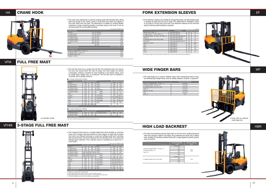# **WIDE FINGER BARS**

**HIGH LOAD BACKREST**

Fork extension sleeves are suitable for transporting bulky, yet light-weight loads or picking up loads that are out of reach. This attachment is available in three to six types to suit the size of the load. Fork extension sleeves can be removed easily if ordinary pallet handling is required.

The wide finger bar is used to stabilize loads when transporting wide or long, but relatively light weight loads, such as railway sleepers, lumbers, or plywood.

The high load backrest prevents high loads on the forks from spilling backward when the carriage is lifted to full height, thus protecting the driver from a falling load. Suitable for handling unitized loads with a large apparent specific gravity, such as cartons.

The effective length (L') of fork extension sleeves is 20 to 50 mm shorter than the fork length (L).



|                                         | Attachment width (mm) |
|-----------------------------------------|-----------------------|
| FG D 10. F H G D/FHGE15 - 18. FB10 - 15 | 1245/1490             |
| F H G D/F H GE20 - 25, FB20 - 25        | 1470/1580             |
| F H G D/F H GE30, FD35, FB30, FB35      | 1500/1660             |
| FRB9 - 18                               | 1510/1670             |
| FG D 35 - 40, FD45                      | 1790/1900             |
| FD50                                    | 1850/1960             |
| FD60 - 80                               | 2560                  |

|                                         | <b>Backrest height (H)</b><br>(mm) | <b>Backrest width (B)</b><br>(mm) |
|-----------------------------------------|------------------------------------|-----------------------------------|
|                                         | STD 1000                           |                                   |
| FG D 10, F H G D/FHGE15 - 18, FB10 - 15 | 1100                               |                                   |
| F H G D/F H GF20 - 25                   | 1200                               | 1060                              |
| FB20 - 25                               | 1300                               | 1140                              |
|                                         | 1400                               |                                   |
|                                         | 1500                               |                                   |
|                                         | STD 1220                           |                                   |
| F H G D/F H GE30, FD35, FB30, FB35      | 1300                               | 1200                              |
|                                         | 1400                               |                                   |
|                                         | 1500                               |                                   |

**That** 

n an

#### The full free mast has a longer free lift than the standard mast. So long as the forks are raised within the free lift range, the mast height will remain unchanged, making it suitable for load handling in low-ceiling areas, such as inside ships, freight cars, or containers. The full free mast is available in 3-cylinder and 4-cylinder versions.

The 3-stage full free mast is a versatile attachment which doubles as a full free mast and a 3-stage mast that extends in three stages. Its large free lift allows the truck to go through doorways or under low ceilings easily and it provides high stacking which cannot be attained with the standard mast, thus improving storage space utilization. The 4-cylinder version is available as an option for 2 - 3 ton trucks.

|                                               |                               |     | mm                      |
|-----------------------------------------------|-------------------------------|-----|-------------------------|
|                                               | Fork length (L)               |     | Width (b) Thickness (t) |
| FG D 10, FB10, FRB9 - 10                      | 1050 1200 1350 1500           | 120 | 50                      |
| F H G D/FHGE15 - 18, FB15, FRB13 - 18         | 1200 1350 1500 1650           | 120 | 58                      |
| F H G D/F H GE20 - 25, FA20D - 25D, FB20 - 25 | 1200 1350 1500 1650 1800 1950 | 157 | 66                      |
| FRB20 - 25                                    | 1200 1350 1500 1650 1800      | 157 | 64                      |
| F H G D/F H GE30, FA30D, FB30, FRB30          | 1350 1500 1650 1800 1950      | 157 | 73                      |
| FD35, FB35                                    | 1350 1500 1650 1800 1950 2100 | 184 | 76                      |
| FG D 35 - 40, FD45                            | 1500 1800 2100                | 184 | 76 81                   |
| FD50                                          | 1800 2100 2250                | 196 | 96                      |
| FD60                                          | 1650 2100 2250                | 196 | 96                      |
| FD70                                          | 1800 2100 2250                | 196 | 108                     |
| <b>FD80</b>                                   | 1800 2100 2250                | 214 | 114                     |
| FD100                                         | 1800 2200 2400                | 214 | 114                     |

The crane hook attachment is used for hoisting loads with standard forks. Bring both fork prongs to the center, install a hook block onto them and tighten it from both sides with two bolts. The attachment is suitable for hoisting flexible containers or bags containing powder or particles slung on the hook. It can be removed easily for normal pallet handling. Trucks with a VM300 mast

### HA **CRANE HOOK**



### VFM **FULL FREE MAST**

# VFHM **3-STAGE FULL FREE MAST**

|                                         |      |             | TIUCRO WILI & VIVIOUU IIIGOL |
|-----------------------------------------|------|-------------|------------------------------|
| Max. load (kg)                          |      |             |                              |
| <b>FG D 10</b>                          | 1000 | FG D 35     | 3500                         |
| F H G D/FHGE15                          | 1500 | FG D 40     | 4000                         |
| F H G D/FHGE18                          | 1750 | <b>FB10</b> | 1000                         |
| F H G D/F H GE20                        | 2000 | <b>FB15</b> | 1500                         |
| F H G D/F H GE25                        | 2500 | <b>FB20</b> | 2000                         |
| F H G D/F H GE30                        | 3000 | FB25        | 2500                         |
| FD35                                    | 3500 | <b>FB30</b> | 3000                         |
|                                         |      | FB35        | 3500                         |
| Load center (mm)                        |      |             | 500<br>FG D 35 - 40 600      |
| Lift height (mm)                        |      |             |                              |
| FG D 10, F H G D/FHGE15 - 18, FB10 - 15 |      |             | 2765                         |
| F H G D/F H GE20 - 25, FB20 - 25        |      |             | 2700                         |
| F H G D/F H GE30, FB30                  |      |             | 2725                         |
| FG D 35 - 40, FB35                      |      |             | 2660                         |
|                                         |      |             |                              |

|                  | Max. load (kg) | Free lift (mm) |                   | Max. load (kg)     | Free lift (mm) |
|------------------|----------------|----------------|-------------------|--------------------|----------------|
| <b>FG D 10</b>   | 1000           | 985            | <b>FD80</b>       | 8000               | 1345           |
| F H G D/FHGF15   | 1500           | 990            | <b>FA20D</b>      | 2000               | 1040           |
| F H G D/FHGE18   | 1750           | 990            | <b>FA25D</b>      | 2500               | 1040           |
| F H G D/F H GE20 | 2000           | 1025           | <b>FA30D</b>      | 3000               | 895            |
| F H G D/F H GE25 | 2500           | 1030           | FB10/FRB10        | 1000               | 985/1175       |
| F H G D/F H GF30 | 3000           | 850            | FRB13             | 1250               | 1175           |
| FD35             | 3500           | 905            | FRB14             | 1350               | 1175           |
| FG D 35          | 3500           | 960            | <b>FR15/FRB15</b> | 1500               | 990/1175       |
| FG D 40          | 4000           | 960            | FB18/FRB18        | 1750/1800          | 990/1175       |
| FD45             | 4500           | 1015           | FB20/FRB20        | 2000               | 995/1135       |
| <b>FD50</b>      | 5000           | 990            | FB25/FRB25        | 2500               | 995/1135       |
| FD60             | 6000           | 1255           | FB30              | 3000               | 850            |
| <b>FD70</b>      | 7000           | 1265           |                   |                    |                |
| Load center (mm) |                |                |                   | FG D 35 - FD80 600 | 500            |

| 4-Cyllituer Thouel (Mast. VEWSUU) |      |                                 |                  |                                               |     |
|-----------------------------------|------|---------------------------------|------------------|-----------------------------------------------|-----|
|                                   |      | Max. load (kg)   Free lift (mm) |                  | $\vert$ Max. load (kg) $\vert$ Free lift (mm) |     |
| F H G D/F H GE20                  | 1900 | 1040                            | F H G D/F H GE30 | 2900                                          | 900 |
| F H G D/F H GE25                  | 2400 | 1045                            |                  |                                               |     |
| Load center (mm)<br>500           |      |                                 |                  |                                               |     |

4-cylinder model **For trucks without a load backrest, the free lift height may vary.** For trucks without a load backrest, the free lift height may vary.

#### 3-cylinder model (mast: VFM300)

#### 4-cylinder model (mast: VFW300)

|                  |                |                |                   | Trucks with a VFHM435 mast |                |
|------------------|----------------|----------------|-------------------|----------------------------|----------------|
|                  | Max. load (kg) | Free lift (mm) |                   | Max. load (kg)             | Free lift (mm) |
| FG D 10          | 900            | 895            | <b>FD80</b>       | 7000                       | 1345           |
| F H G D/FHGF15   | 1350           | 900            | <b>FA20D</b>      | 1800                       | 1040           |
| F H G D/FHGF18   | 1550           | 900            | <b>FA25D</b>      | 1800                       | 1040           |
| F H G D/F H GE20 | 1900 1800      | 1025 1040      | FA30D             | 2500                       | 895            |
| F H G D/F H GE25 | 2200 2200      | 1030 1045      | FB10/FRB10        | 900/1000                   | 985/1175       |
| F H G D/F H GE30 | 2900 2800      | 850 900        | FRB13             | 1100                       | 1175           |
| FD35             | 3500           | 905            | FRB14             | 1300                       | 1175           |
| FG D 35          | 3500           | 925            | FB15/FRB15        | 1350/1500                  | 990/1175       |
| FG D 40          | 4000           | 925            | FR18/FRR18        | 1550/1700                  | 990/1175       |
| FD45             | 4500           | 1000           | FB20/FRB20        | 1900/2000                  | 1030/1135      |
| <b>FD50</b>      | 4800           | 930            | <b>FB25/FRB25</b> | 2200/2500                  | 1030/1135      |
| FD60             | 5500           | 1255           | FB30              | 2800                       | 850            |
| <b>FD70</b>      | 6200           | 1265           | <b>FB35</b>       | 3300                       | 905            |
| Load center (mm) |                |                |                   | FG D 35 - FD80 600         | 500            |

Figures in ( ) are given for 4-cylinder model.<br>The 3-stage full free mast for reach trucks is a high, lift-height type (7H).<br>Optionally available for Acroba series trucks (2 - 3 ton models) with wide tread.<br>The free lift h